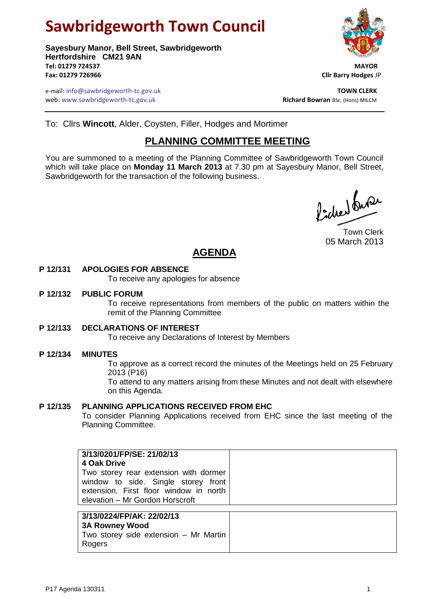# **Sawbridgeworth Town Council**

**Sayesbury Manor, Bell Street, Sawbridgeworth Hertfordshire CM21 9AN Tel: 01279 724537 MAYOR Fax: 01279 726966 Cllr Barry Hodges** JP



e-mail: info@sawbridgeworth-tc.gov.uk **TOWN CLERK** web: www.sawbridgeworth-tc.gov.uk

To: Cllrs **Wincott**, Alder, Coysten, Filler, Hodges and Mortimer

## **PLANNING COMMITTEE MEETING**

You are summoned to a meeting of the Planning Committee of Sawbridgeworth Town Council which will take place on **Monday 11 March 2013** at 7.30 pm at Sayesbury Manor, Bell Street, Sawbridgeworth for the transaction of the following business.

Picked fune

Town Clerk 05 March 2013

## **AGENDA**

#### **P 12/131 APOLOGIES FOR ABSENCE**

To receive any apologies for absence

#### **P 12/132 PUBLIC FORUM**

To receive representations from members of the public on matters within the remit of the Planning Committee

#### **P 12/133 DECLARATIONS OF INTEREST**

To receive any Declarations of Interest by Members

#### **P 12/134 MINUTES**

To approve as a correct record the minutes of the Meetings held on 25 February 2013 (P16)

To attend to any matters arising from these Minutes and not dealt with elsewhere on this Agenda.

#### **P 12/135 PLANNING APPLICATIONS RECEIVED FROM EHC**

To consider Planning Applications received from EHC since the last meeting of the Planning Committee.

| 3/13/0201/FP/SE: 21/02/13              |
|----------------------------------------|
| 4 Oak Drive                            |
| Two storey rear extension with dormer  |
| window to side. Single storey front    |
| extension. First floor window in north |
| elevation - Mr Gordon Horscroft        |
|                                        |
| $A/A A B A A B A T B A B. A B$         |

#### **3/13/0224/FP/AK: 22/02/13 3A Rowney Wood**

Two storey side extension – Mr Martin Rogers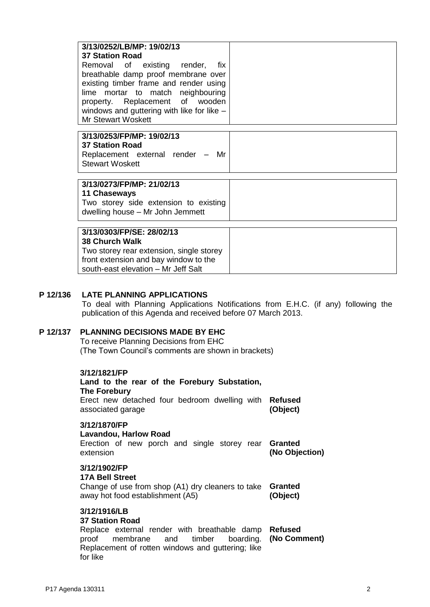| 3/13/0252/LB/MP: 19/02/13<br><b>37 Station Road</b><br>Removal of existing render,<br>fix -<br>breathable damp proof membrane over<br>existing timber frame and render using<br>lime mortar to match neighbouring<br>property. Replacement of wooden<br>windows and guttering with like for like $-$ |  |
|------------------------------------------------------------------------------------------------------------------------------------------------------------------------------------------------------------------------------------------------------------------------------------------------------|--|
| <b>Mr Stewart Woskett</b>                                                                                                                                                                                                                                                                            |  |
| 3/13/0253/FP/MP: 19/02/13<br><b>37 Station Road</b><br>Replacement external render - Mr<br><b>Stewart Woskett</b>                                                                                                                                                                                    |  |
| 3/13/0273/FP/MP: 21/02/13<br>11 Chaseways<br>Two storey side extension to existing<br>dwelling house – Mr John Jemmett                                                                                                                                                                               |  |
| 3/13/0303/FP/SE: 28/02/13<br><b>38 Church Walk</b><br>Two storey rear extension, single storey<br>front extension and bay window to the<br>south-east elevation - Mr Jeff Salt                                                                                                                       |  |

### **P 12/136 LATE PLANNING APPLICATIONS**

To deal with Planning Applications Notifications from E.H.C. (if any) following the publication of this Agenda and received before 07 March 2013.

#### **P 12/137 PLANNING DECISIONS MADE BY EHC**

To receive Planning Decisions from EHC (The Town Council's comments are shown in brackets)

#### **3/12/1821/FP**

| Land to the rear of the Forebury Substation,<br>The Forebury<br>Erect new detached four bedroom dwelling with <b>Refused</b><br>associated garage                                                                      | (Object)            |
|------------------------------------------------------------------------------------------------------------------------------------------------------------------------------------------------------------------------|---------------------|
| 3/12/1870/FP<br><b>Lavandou, Harlow Road</b><br>Erection of new porch and single storey rear Granted<br>extension                                                                                                      | (No Objection)      |
| 3/12/1902/FP<br><b>17A Bell Street</b><br>Change of use from shop (A1) dry cleaners to take<br>away hot food establishment (A5)                                                                                        | Granted<br>(Object) |
| 3/12/1916/LB<br><b>37 Station Road</b><br>Replace external render with breathable damp Refused<br>membrane and timber boarding. (No Comment)<br>proof<br>Replacement of rotten windows and guttering; like<br>for like |                     |